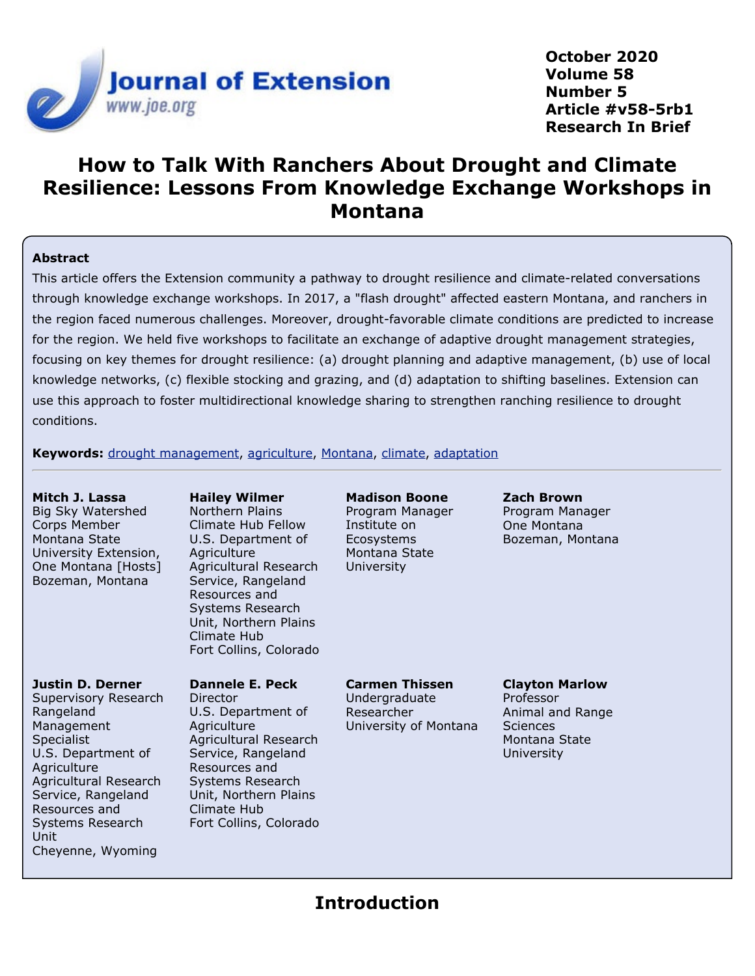

**October 2020 Volume 58 Number 5 Article #v58-5rb1 Research In Brief**

# **How to Talk With Ranchers About Drought and Climate Resilience: Lessons From Knowledge Exchange Workshops in Montana**

#### **Abstract**

This article offers the Extension community a pathway to drought resilience and climate-related conversations through knowledge exchange workshops. In 2017, a "flash drought" affected eastern Montana, and ranchers in the region faced numerous challenges. Moreover, drought-favorable climate conditions are predicted to increase for the region. We held five workshops to facilitate an exchange of adaptive drought management strategies, focusing on key themes for drought resilience: (a) drought planning and adaptive management, (b) use of local knowledge networks, (c) flexible stocking and grazing, and (d) adaptation to shifting baselines. Extension can use this approach to foster multidirectional knowledge sharing to strengthen ranching resilience to drought conditions.

**Keywords:** [drought management](https://joe.org/search-results.php?cx=010816128502272931564%3Aopgn_voyplk&cof=FORID%3A10&ie=UTF-8&q=drought management&sa=Search+JOE#1039\), [agriculture](https://joe.org/search-results.php?cx=010816128502272931564%3Aopgn_voyplk&cof=FORID%3A10&ie=UTF-8&q=agriculture&sa=Search+JOE#1039\), [Montana](https://joe.org/search-results.php?cx=010816128502272931564%3Aopgn_voyplk&cof=FORID%3A10&ie=UTF-8&q=Montana&sa=Search+JOE#1039\), [climate](https://joe.org/search-results.php?cx=010816128502272931564%3Aopgn_voyplk&cof=FORID%3A10&ie=UTF-8&q=climate&sa=Search+JOE#1039\), [adaptation](https://joe.org/search-results.php?cx=010816128502272931564%3Aopgn_voyplk&cof=FORID%3A10&ie=UTF-8&q=adaptation&sa=Search+JOE#1039)

| Mitch J. Lassa<br>Big Sky Watershed<br>Corps Member<br>Montana State<br>University Extension,<br>One Montana [Hosts]<br>Bozeman, Montana                                                                                                | <b>Hailey Wilmer</b><br>Northern Plains<br>Climate Hub Fellow<br>U.S. Department of<br>Agriculture<br>Agricultural Research<br>Service, Rangeland<br>Resources and<br>Systems Research<br>Unit, Northern Plains<br>Climate Hub<br>Fort Collins, Colorado | <b>Madison Boone</b><br>Program Manager<br>Institute on<br><b>Ecosystems</b><br>Montana State<br>University | <b>Zach Brown</b><br>Program Manager<br>One Montana<br>Bozeman, Montana                                  |
|-----------------------------------------------------------------------------------------------------------------------------------------------------------------------------------------------------------------------------------------|----------------------------------------------------------------------------------------------------------------------------------------------------------------------------------------------------------------------------------------------------------|-------------------------------------------------------------------------------------------------------------|----------------------------------------------------------------------------------------------------------|
| Justin D. Derner<br>Supervisory Research<br>Rangeland<br>Management<br>Specialist<br>U.S. Department of<br>Agriculture<br>Agricultural Research<br>Service, Rangeland<br>Resources and<br>Systems Research<br>Unit<br>Cheyenne, Wyoming | Dannele E. Peck<br>Director<br>U.S. Department of<br>Agriculture<br>Agricultural Research<br>Service, Rangeland<br>Resources and<br>Systems Research<br>Unit, Northern Plains<br>Climate Hub<br>Fort Collins, Colorado                                   | <b>Carmen Thissen</b><br>Undergraduate<br>Researcher<br>University of Montana                               | <b>Clayton Marlow</b><br>Professor<br>Animal and Range<br><b>Sciences</b><br>Montana State<br>University |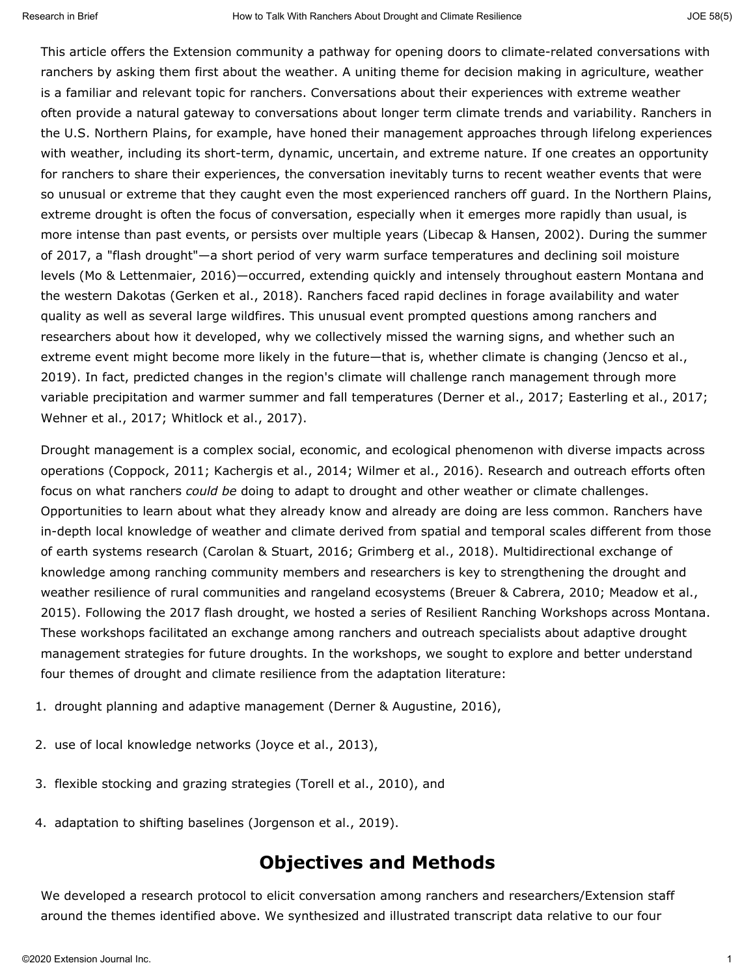This article offers the Extension community a pathway for opening doors to climate-related conversations with ranchers by asking them first about the weather. A uniting theme for decision making in agriculture, weather is a familiar and relevant topic for ranchers. Conversations about their experiences with extreme weather often provide a natural gateway to conversations about longer term climate trends and variability. Ranchers in the U.S. Northern Plains, for example, have honed their management approaches through lifelong experiences with weather, including its short-term, dynamic, uncertain, and extreme nature. If one creates an opportunity for ranchers to share their experiences, the conversation inevitably turns to recent weather events that were so unusual or extreme that they caught even the most experienced ranchers off guard. In the Northern Plains, extreme drought is often the focus of conversation, especially when it emerges more rapidly than usual, is more intense than past events, or persists over multiple years (Libecap & Hansen, 2002). During the summer of 2017, a "flash drought"—a short period of very warm surface temperatures and declining soil moisture levels (Mo & Lettenmaier, 2016)—occurred, extending quickly and intensely throughout eastern Montana and the western Dakotas (Gerken et al., 2018). Ranchers faced rapid declines in forage availability and water quality as well as several large wildfires. This unusual event prompted questions among ranchers and researchers about how it developed, why we collectively missed the warning signs, and whether such an extreme event might become more likely in the future—that is, whether climate is changing (Jencso et al., 2019). In fact, predicted changes in the region's climate will challenge ranch management through more variable precipitation and warmer summer and fall temperatures (Derner et al., 2017; Easterling et al., 2017; Wehner et al., 2017; Whitlock et al., 2017).

Drought management is a complex social, economic, and ecological phenomenon with diverse impacts across operations (Coppock, 2011; Kachergis et al., 2014; Wilmer et al., 2016). Research and outreach efforts often focus on what ranchers *could be* doing to adapt to drought and other weather or climate challenges. Opportunities to learn about what they already know and already are doing are less common. Ranchers have in-depth local knowledge of weather and climate derived from spatial and temporal scales different from those of earth systems research (Carolan & Stuart, 2016; Grimberg et al., 2018). Multidirectional exchange of knowledge among ranching community members and researchers is key to strengthening the drought and weather resilience of rural communities and rangeland ecosystems (Breuer & Cabrera, 2010; Meadow et al., 2015). Following the 2017 flash drought, we hosted a series of Resilient Ranching Workshops across Montana. These workshops facilitated an exchange among ranchers and outreach specialists about adaptive drought management strategies for future droughts. In the workshops, we sought to explore and better understand four themes of drought and climate resilience from the adaptation literature:

- 1. drought planning and adaptive management (Derner & Augustine, 2016),
- 2. use of local knowledge networks (Joyce et al., 2013),
- 3. flexible stocking and grazing strategies (Torell et al., 2010), and
- 4. adaptation to shifting baselines (Jorgenson et al., 2019).

### **Objectives and Methods**

We developed a research protocol to elicit conversation among ranchers and researchers/Extension staff around the themes identified above. We synthesized and illustrated transcript data relative to our four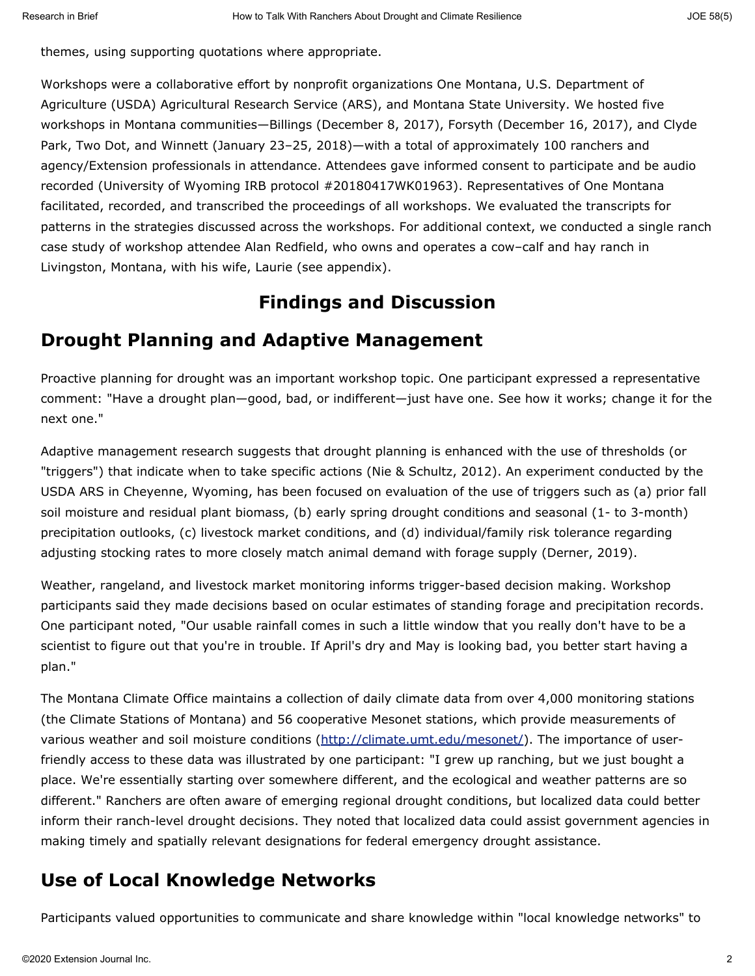themes, using supporting quotations where appropriate.

Workshops were a collaborative effort by nonprofit organizations One Montana, U.S. Department of Agriculture (USDA) Agricultural Research Service (ARS), and Montana State University. We hosted five workshops in Montana communities—Billings (December 8, 2017), Forsyth (December 16, 2017), and Clyde Park, Two Dot, and Winnett (January 23–25, 2018)—with a total of approximately 100 ranchers and agency/Extension professionals in attendance. Attendees gave informed consent to participate and be audio recorded (University of Wyoming IRB protocol #20180417WK01963). Representatives of One Montana facilitated, recorded, and transcribed the proceedings of all workshops. We evaluated the transcripts for patterns in the strategies discussed across the workshops. For additional context, we conducted a single ranch case study of workshop attendee Alan Redfield, who owns and operates a cow–calf and hay ranch in Livingston, Montana, with his wife, Laurie (see appendix).

## **Findings and Discussion**

## **Drought Planning and Adaptive Management**

Proactive planning for drought was an important workshop topic. One participant expressed a representative comment: "Have a drought plan—good, bad, or indifferent—just have one. See how it works; change it for the next one."

Adaptive management research suggests that drought planning is enhanced with the use of thresholds (or "triggers") that indicate when to take specific actions (Nie & Schultz, 2012). An experiment conducted by the USDA ARS in Cheyenne, Wyoming, has been focused on evaluation of the use of triggers such as (a) prior fall soil moisture and residual plant biomass, (b) early spring drought conditions and seasonal (1- to 3-month) precipitation outlooks, (c) livestock market conditions, and (d) individual/family risk tolerance regarding adjusting stocking rates to more closely match animal demand with forage supply (Derner, 2019).

Weather, rangeland, and livestock market monitoring informs trigger-based decision making. Workshop participants said they made decisions based on ocular estimates of standing forage and precipitation records. One participant noted, "Our usable rainfall comes in such a little window that you really don't have to be a scientist to figure out that you're in trouble. If April's dry and May is looking bad, you better start having a plan."

The Montana Climate Office maintains a collection of daily climate data from over 4,000 monitoring stations (the Climate Stations of Montana) and 56 cooperative Mesonet stations, which provide measurements of various weather and soil moisture conditions [\(http://climate.umt.edu/mesonet/](http://climate.umt.edu/mesonet/)). The importance of userfriendly access to these data was illustrated by one participant: "I grew up ranching, but we just bought a place. We're essentially starting over somewhere different, and the ecological and weather patterns are so different." Ranchers are often aware of emerging regional drought conditions, but localized data could better inform their ranch-level drought decisions. They noted that localized data could assist government agencies in making timely and spatially relevant designations for federal emergency drought assistance.

# **Use of Local Knowledge Networks**

Participants valued opportunities to communicate and share knowledge within "local knowledge networks" to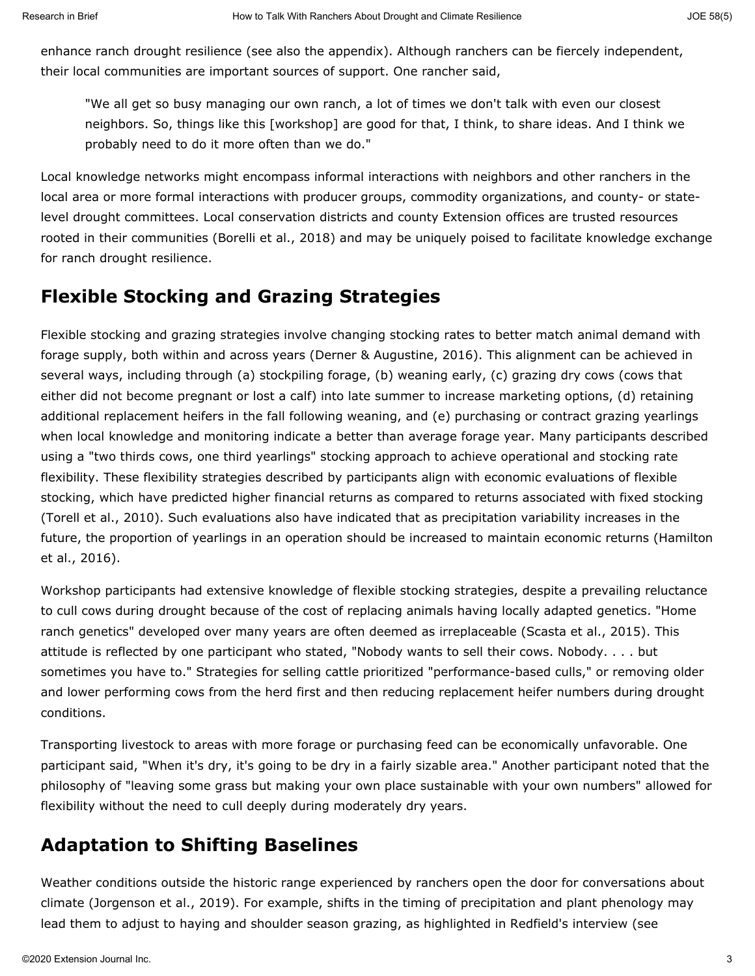enhance ranch drought resilience (see also the appendix). Although ranchers can be fiercely independent, their local communities are important sources of support. One rancher said,

"We all get so busy managing our own ranch, a lot of times we don't talk with even our closest neighbors. So, things like this [workshop] are good for that, I think, to share ideas. And I think we probably need to do it more often than we do."

Local knowledge networks might encompass informal interactions with neighbors and other ranchers in the local area or more formal interactions with producer groups, commodity organizations, and county- or statelevel drought committees. Local conservation districts and county Extension offices are trusted resources rooted in their communities (Borelli et al., 2018) and may be uniquely poised to facilitate knowledge exchange for ranch drought resilience.

## **Flexible Stocking and Grazing Strategies**

Flexible stocking and grazing strategies involve changing stocking rates to better match animal demand with forage supply, both within and across years (Derner & Augustine, 2016). This alignment can be achieved in several ways, including through (a) stockpiling forage, (b) weaning early, (c) grazing dry cows (cows that either did not become pregnant or lost a calf) into late summer to increase marketing options, (d) retaining additional replacement heifers in the fall following weaning, and (e) purchasing or contract grazing yearlings when local knowledge and monitoring indicate a better than average forage year. Many participants described using a "two thirds cows, one third yearlings" stocking approach to achieve operational and stocking rate flexibility. These flexibility strategies described by participants align with economic evaluations of flexible stocking, which have predicted higher financial returns as compared to returns associated with fixed stocking (Torell et al., 2010). Such evaluations also have indicated that as precipitation variability increases in the future, the proportion of yearlings in an operation should be increased to maintain economic returns (Hamilton et al., 2016).

Workshop participants had extensive knowledge of flexible stocking strategies, despite a prevailing reluctance to cull cows during drought because of the cost of replacing animals having locally adapted genetics. "Home ranch genetics" developed over many years are often deemed as irreplaceable (Scasta et al., 2015). This attitude is reflected by one participant who stated, "Nobody wants to sell their cows. Nobody. . . . but sometimes you have to." Strategies for selling cattle prioritized "performance-based culls," or removing older and lower performing cows from the herd first and then reducing replacement heifer numbers during drought conditions.

Transporting livestock to areas with more forage or purchasing feed can be economically unfavorable. One participant said, "When it's dry, it's going to be dry in a fairly sizable area." Another participant noted that the philosophy of "leaving some grass but making your own place sustainable with your own numbers" allowed for flexibility without the need to cull deeply during moderately dry years.

## **Adaptation to Shifting Baselines**

Weather conditions outside the historic range experienced by ranchers open the door for conversations about climate (Jorgenson et al., 2019). For example, shifts in the timing of precipitation and plant phenology may lead them to adjust to haying and shoulder season grazing, as highlighted in Redfield's interview (see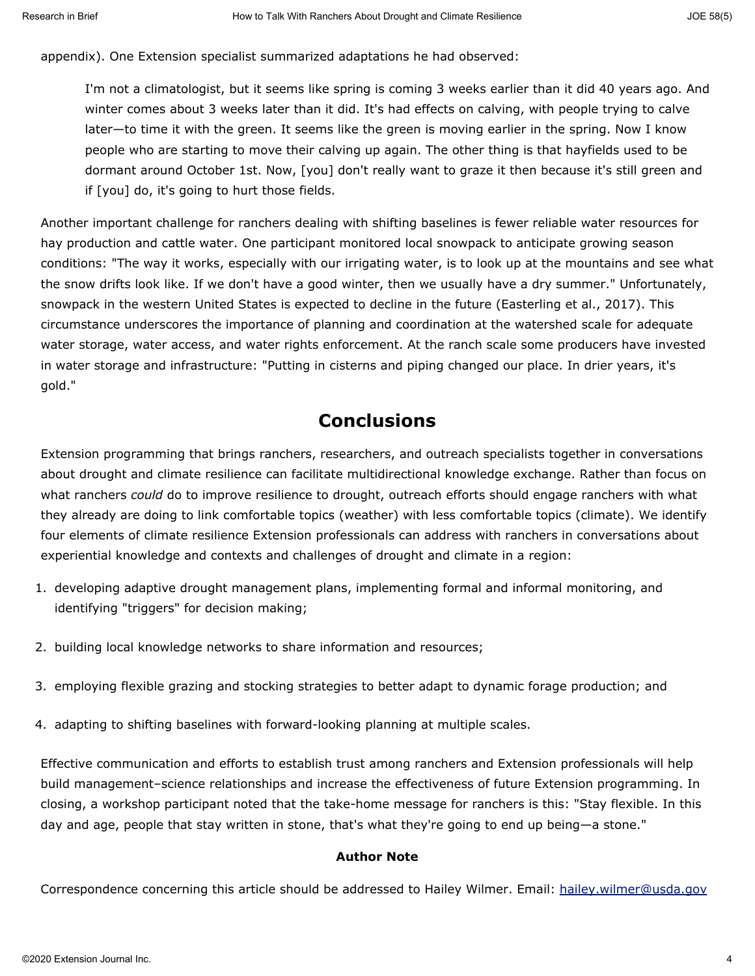appendix). One Extension specialist summarized adaptations he had observed:

I'm not a climatologist, but it seems like spring is coming 3 weeks earlier than it did 40 years ago. And winter comes about 3 weeks later than it did. It's had effects on calving, with people trying to calve later—to time it with the green. It seems like the green is moving earlier in the spring. Now I know people who are starting to move their calving up again. The other thing is that hayfields used to be dormant around October 1st. Now, [you] don't really want to graze it then because it's still green and if [you] do, it's going to hurt those fields.

Another important challenge for ranchers dealing with shifting baselines is fewer reliable water resources for hay production and cattle water. One participant monitored local snowpack to anticipate growing season conditions: "The way it works, especially with our irrigating water, is to look up at the mountains and see what the snow drifts look like. If we don't have a good winter, then we usually have a dry summer." Unfortunately, snowpack in the western United States is expected to decline in the future (Easterling et al., 2017). This circumstance underscores the importance of planning and coordination at the watershed scale for adequate water storage, water access, and water rights enforcement. At the ranch scale some producers have invested in water storage and infrastructure: "Putting in cisterns and piping changed our place. In drier years, it's gold."

### **Conclusions**

Extension programming that brings ranchers, researchers, and outreach specialists together in conversations about drought and climate resilience can facilitate multidirectional knowledge exchange. Rather than focus on what ranchers *could* do to improve resilience to drought, outreach efforts should engage ranchers with what they already are doing to link comfortable topics (weather) with less comfortable topics (climate). We identify four elements of climate resilience Extension professionals can address with ranchers in conversations about experiential knowledge and contexts and challenges of drought and climate in a region:

- 1. developing adaptive drought management plans, implementing formal and informal monitoring, and identifying "triggers" for decision making;
- 2. building local knowledge networks to share information and resources;
- 3. employing flexible grazing and stocking strategies to better adapt to dynamic forage production; and
- 4. adapting to shifting baselines with forward-looking planning at multiple scales.

Effective communication and efforts to establish trust among ranchers and Extension professionals will help build management–science relationships and increase the effectiveness of future Extension programming. In closing, a workshop participant noted that the take-home message for ranchers is this: "Stay flexible. In this day and age, people that stay written in stone, that's what they're going to end up being—a stone."

#### **Author Note**

Correspondence concerning this article should be addressed to Hailey Wilmer. Email: [hailey.wilmer@usda.gov](mailto:hailey.wilmer@usda.gov)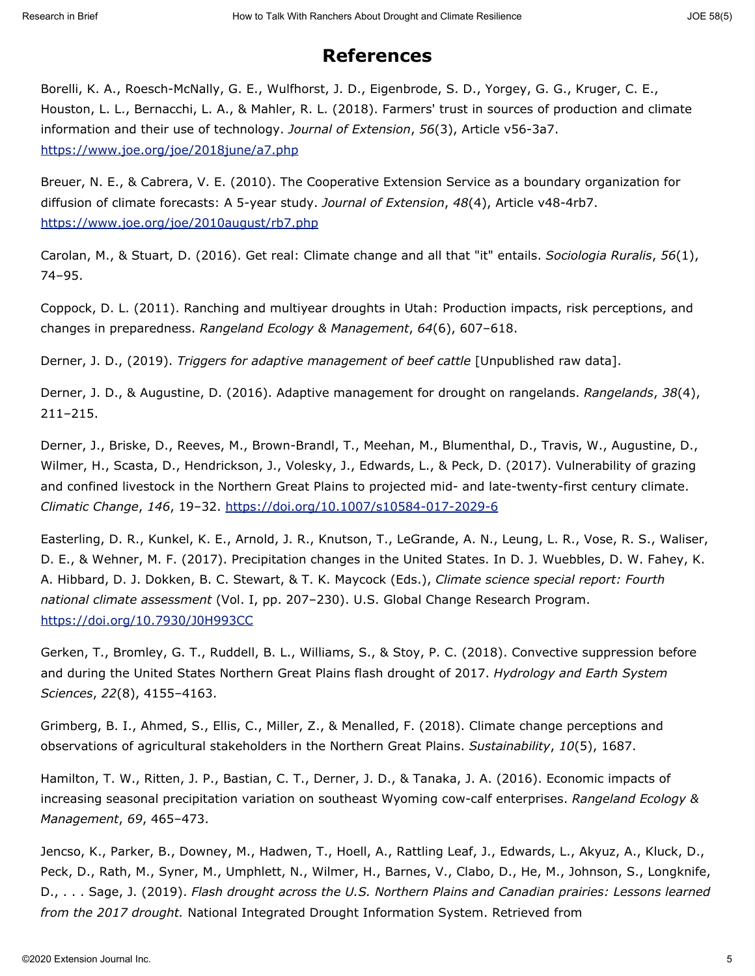## **References**

Borelli, K. A., Roesch-McNally, G. E., Wulfhorst, J. D., Eigenbrode, S. D., Yorgey, G. G., Kruger, C. E., Houston, L. L., Bernacchi, L. A., & Mahler, R. L. (2018). Farmers' trust in sources of production and climate information and their use of technology. *Journal of Extension*, *56*(3), Article v56-3a7. <https://www.joe.org/joe/2018june/a7.php>

Breuer, N. E., & Cabrera, V. E. (2010). The Cooperative Extension Service as a boundary organization for diffusion of climate forecasts: A 5-year study. *Journal of Extension*, *48*(4), Article v48-4rb7. <https://www.joe.org/joe/2010august/rb7.php>

Carolan, M., & Stuart, D. (2016). Get real: Climate change and all that "it" entails. *Sociologia Ruralis*, *56*(1), 74–95.

Coppock, D. L. (2011). Ranching and multiyear droughts in Utah: Production impacts, risk perceptions, and changes in preparedness. *Rangeland Ecology & Management*, *64*(6), 607–618.

Derner, J. D., (2019). *Triggers for adaptive management of beef cattle* [Unpublished raw data].

Derner, J. D., & Augustine, D. (2016). Adaptive management for drought on rangelands. *Rangelands*, *38*(4), 211–215.

Derner, J., Briske, D., Reeves, M., Brown-Brandl, T., Meehan, M., Blumenthal, D., Travis, W., Augustine, D., Wilmer, H., Scasta, D., Hendrickson, J., Volesky, J., Edwards, L., & Peck, D. (2017). Vulnerability of grazing and confined livestock in the Northern Great Plains to projected mid- and late-twenty-first century climate. *Climatic Change*, *146*, 19–32.<https://doi.org/10.1007/s10584-017-2029-6>

Easterling, D. R., Kunkel, K. E., Arnold, J. R., Knutson, T., LeGrande, A. N., Leung, L. R., Vose, R. S., Waliser, D. E., & Wehner, M. F. (2017). Precipitation changes in the United States. In D. J. Wuebbles, D. W. Fahey, K. A. Hibbard, D. J. Dokken, B. C. Stewart, & T. K. Maycock (Eds.), *Climate science special report: Fourth national climate assessment* (Vol. I, pp. 207–230). U.S. Global Change Research Program. <https://doi.org/10.7930/J0H993CC>

Gerken, T., Bromley, G. T., Ruddell, B. L., Williams, S., & Stoy, P. C. (2018). Convective suppression before and during the United States Northern Great Plains flash drought of 2017. *Hydrology and Earth System Sciences*, *22*(8), 4155–4163.

Grimberg, B. I., Ahmed, S., Ellis, C., Miller, Z., & Menalled, F. (2018). Climate change perceptions and observations of agricultural stakeholders in the Northern Great Plains. *Sustainability*, *10*(5), 1687.

Hamilton, T. W., Ritten, J. P., Bastian, C. T., Derner, J. D., & Tanaka, J. A. (2016). Economic impacts of increasing seasonal precipitation variation on southeast Wyoming cow-calf enterprises. *Rangeland Ecology & Management*, *69*, 465–473.

Jencso, K., Parker, B., Downey, M., Hadwen, T., Hoell, A., Rattling Leaf, J., Edwards, L., Akyuz, A., Kluck, D., Peck, D., Rath, M., Syner, M., Umphlett, N., Wilmer, H., Barnes, V., Clabo, D., He, M., Johnson, S., Longknife, D., . . . Sage, J. (2019). *Flash drought across the U.S. Northern Plains and Canadian prairies: Lessons learned from the 2017 drought.* National Integrated Drought Information System. Retrieved from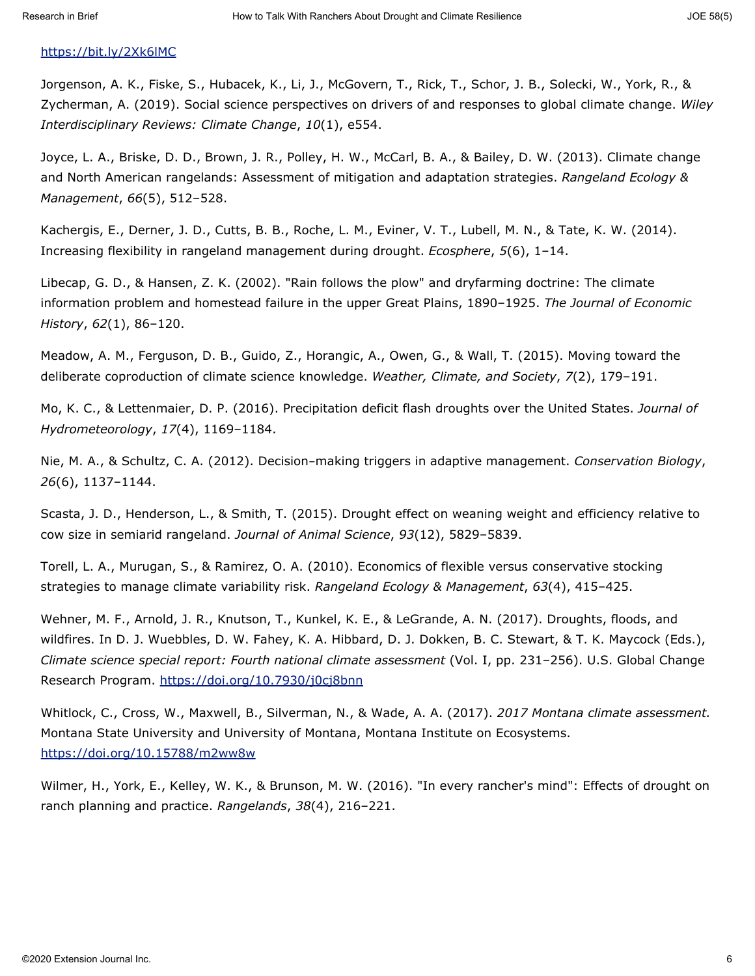### <https://bit.ly/2Xk6lMC>

Jorgenson, A. K., Fiske, S., Hubacek, K., Li, J., McGovern, T., Rick, T., Schor, J. B., Solecki, W., York, R., & Zycherman, A. (2019). Social science perspectives on drivers of and responses to global climate change. *Wiley Interdisciplinary Reviews: Climate Change*, *10*(1), e554.

Joyce, L. A., Briske, D. D., Brown, J. R., Polley, H. W., McCarl, B. A., & Bailey, D. W. (2013). Climate change and North American rangelands: Assessment of mitigation and adaptation strategies. *Rangeland Ecology & Management*, *66*(5), 512–528.

Kachergis, E., Derner, J. D., Cutts, B. B., Roche, L. M., Eviner, V. T., Lubell, M. N., & Tate, K. W. (2014). Increasing flexibility in rangeland management during drought. *Ecosphere*, *5*(6), 1–14.

Libecap, G. D., & Hansen, Z. K. (2002). "Rain follows the plow" and dryfarming doctrine: The climate information problem and homestead failure in the upper Great Plains, 1890–1925. *The Journal of Economic History*, *62*(1), 86–120.

Meadow, A. M., Ferguson, D. B., Guido, Z., Horangic, A., Owen, G., & Wall, T. (2015). Moving toward the deliberate coproduction of climate science knowledge. *Weather, Climate, and Society*, *7*(2), 179–191.

Mo, K. C., & Lettenmaier, D. P. (2016). Precipitation deficit flash droughts over the United States. *Journal of Hydrometeorology*, *17*(4), 1169–1184.

Nie, M. A., & Schultz, C. A. (2012). Decision‐making triggers in adaptive management. *Conservation Biology*, *26*(6), 1137–1144.

Scasta, J. D., Henderson, L., & Smith, T. (2015). Drought effect on weaning weight and efficiency relative to cow size in semiarid rangeland. *Journal of Animal Science*, *93*(12), 5829–5839.

Torell, L. A., Murugan, S., & Ramirez, O. A. (2010). Economics of flexible versus conservative stocking strategies to manage climate variability risk. *Rangeland Ecology & Management*, *63*(4), 415–425.

Wehner, M. F., Arnold, J. R., Knutson, T., Kunkel, K. E., & LeGrande, A. N. (2017). Droughts, floods, and wildfires. In D. J. Wuebbles, D. W. Fahey, K. A. Hibbard, D. J. Dokken, B. C. Stewart, & T. K. Maycock (Eds.), *Climate science special report: Fourth national climate assessment* (Vol. I, pp. 231–256). U.S. Global Change Research Program.<https://doi.org/10.7930/j0cj8bnn>

Whitlock, C., Cross, W., Maxwell, B., Silverman, N., & Wade, A. A. (2017). *2017 Montana climate assessment.* Montana State University and University of Montana, Montana Institute on Ecosystems. <https://doi.org/10.15788/m2ww8w>

Wilmer, H., York, E., Kelley, W. K., & Brunson, M. W. (2016). "In every rancher's mind": Effects of drought on ranch planning and practice. *Rangelands*, *38*(4), 216–221.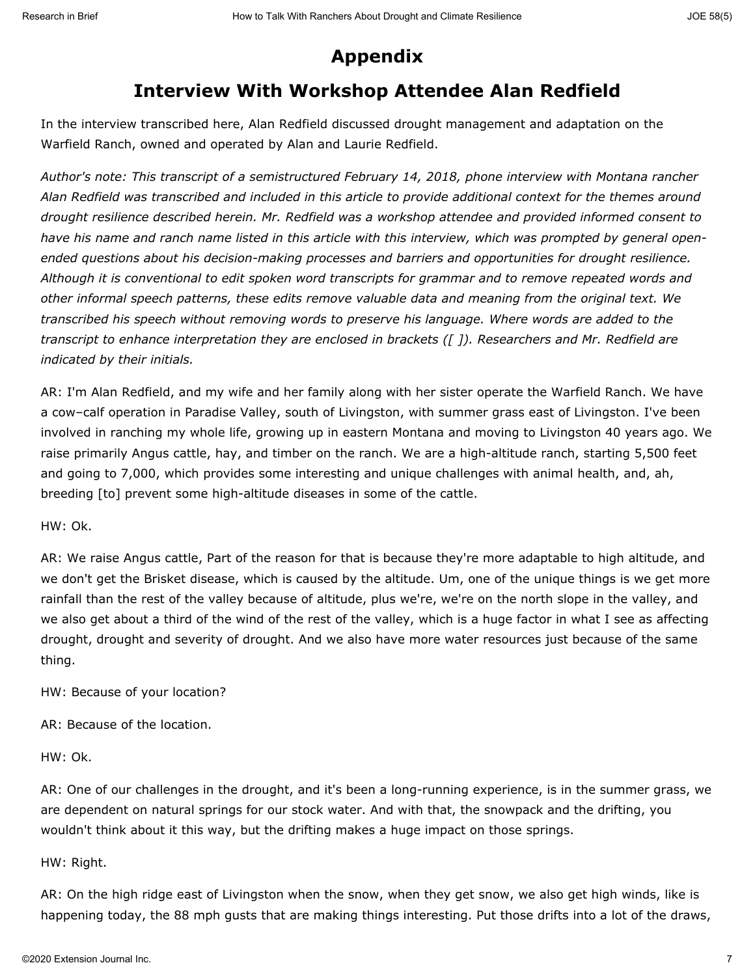# **Appendix**

# **Interview With Workshop Attendee Alan Redfield**

In the interview transcribed here, Alan Redfield discussed drought management and adaptation on the Warfield Ranch, owned and operated by Alan and Laurie Redfield.

*Author's note: This transcript of a semistructured February 14, 2018, phone interview with Montana rancher Alan Redfield was transcribed and included in this article to provide additional context for the themes around drought resilience described herein. Mr. Redfield was a workshop attendee and provided informed consent to have his name and ranch name listed in this article with this interview, which was prompted by general openended questions about his decision-making processes and barriers and opportunities for drought resilience. Although it is conventional to edit spoken word transcripts for grammar and to remove repeated words and other informal speech patterns, these edits remove valuable data and meaning from the original text. We transcribed his speech without removing words to preserve his language. Where words are added to the transcript to enhance interpretation they are enclosed in brackets ([ ]). Researchers and Mr. Redfield are indicated by their initials.*

AR: I'm Alan Redfield, and my wife and her family along with her sister operate the Warfield Ranch. We have a cow–calf operation in Paradise Valley, south of Livingston, with summer grass east of Livingston. I've been involved in ranching my whole life, growing up in eastern Montana and moving to Livingston 40 years ago. We raise primarily Angus cattle, hay, and timber on the ranch. We are a high-altitude ranch, starting 5,500 feet and going to 7,000, which provides some interesting and unique challenges with animal health, and, ah, breeding [to] prevent some high-altitude diseases in some of the cattle.

HW: Ok.

AR: We raise Angus cattle, Part of the reason for that is because they're more adaptable to high altitude, and we don't get the Brisket disease, which is caused by the altitude. Um, one of the unique things is we get more rainfall than the rest of the valley because of altitude, plus we're, we're on the north slope in the valley, and we also get about a third of the wind of the rest of the valley, which is a huge factor in what I see as affecting drought, drought and severity of drought. And we also have more water resources just because of the same thing.

HW: Because of your location?

AR: Because of the location.

HW: Ok.

AR: One of our challenges in the drought, and it's been a long-running experience, is in the summer grass, we are dependent on natural springs for our stock water. And with that, the snowpack and the drifting, you wouldn't think about it this way, but the drifting makes a huge impact on those springs.

#### HW: Right.

AR: On the high ridge east of Livingston when the snow, when they get snow, we also get high winds, like is happening today, the 88 mph gusts that are making things interesting. Put those drifts into a lot of the draws,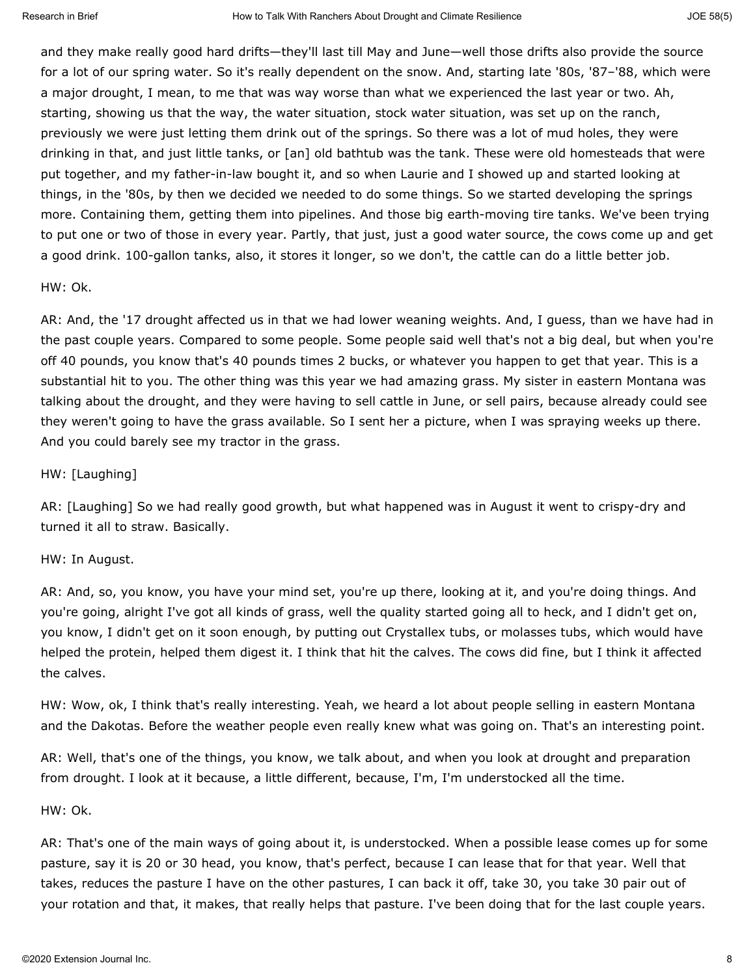and they make really good hard drifts—they'll last till May and June—well those drifts also provide the source for a lot of our spring water. So it's really dependent on the snow. And, starting late '80s, '87–'88, which were a major drought, I mean, to me that was way worse than what we experienced the last year or two. Ah, starting, showing us that the way, the water situation, stock water situation, was set up on the ranch, previously we were just letting them drink out of the springs. So there was a lot of mud holes, they were drinking in that, and just little tanks, or [an] old bathtub was the tank. These were old homesteads that were put together, and my father-in-law bought it, and so when Laurie and I showed up and started looking at things, in the '80s, by then we decided we needed to do some things. So we started developing the springs more. Containing them, getting them into pipelines. And those big earth-moving tire tanks. We've been trying to put one or two of those in every year. Partly, that just, just a good water source, the cows come up and get a good drink. 100-gallon tanks, also, it stores it longer, so we don't, the cattle can do a little better job.

#### HW: Ok.

AR: And, the '17 drought affected us in that we had lower weaning weights. And, I guess, than we have had in the past couple years. Compared to some people. Some people said well that's not a big deal, but when you're off 40 pounds, you know that's 40 pounds times 2 bucks, or whatever you happen to get that year. This is a substantial hit to you. The other thing was this year we had amazing grass. My sister in eastern Montana was talking about the drought, and they were having to sell cattle in June, or sell pairs, because already could see they weren't going to have the grass available. So I sent her a picture, when I was spraying weeks up there. And you could barely see my tractor in the grass.

#### HW: [Laughing]

AR: [Laughing] So we had really good growth, but what happened was in August it went to crispy-dry and turned it all to straw. Basically.

#### HW: In August.

AR: And, so, you know, you have your mind set, you're up there, looking at it, and you're doing things. And you're going, alright I've got all kinds of grass, well the quality started going all to heck, and I didn't get on, you know, I didn't get on it soon enough, by putting out Crystallex tubs, or molasses tubs, which would have helped the protein, helped them digest it. I think that hit the calves. The cows did fine, but I think it affected the calves.

HW: Wow, ok, I think that's really interesting. Yeah, we heard a lot about people selling in eastern Montana and the Dakotas. Before the weather people even really knew what was going on. That's an interesting point.

AR: Well, that's one of the things, you know, we talk about, and when you look at drought and preparation from drought. I look at it because, a little different, because, I'm, I'm understocked all the time.

#### HW: Ok.

AR: That's one of the main ways of going about it, is understocked. When a possible lease comes up for some pasture, say it is 20 or 30 head, you know, that's perfect, because I can lease that for that year. Well that takes, reduces the pasture I have on the other pastures, I can back it off, take 30, you take 30 pair out of your rotation and that, it makes, that really helps that pasture. I've been doing that for the last couple years.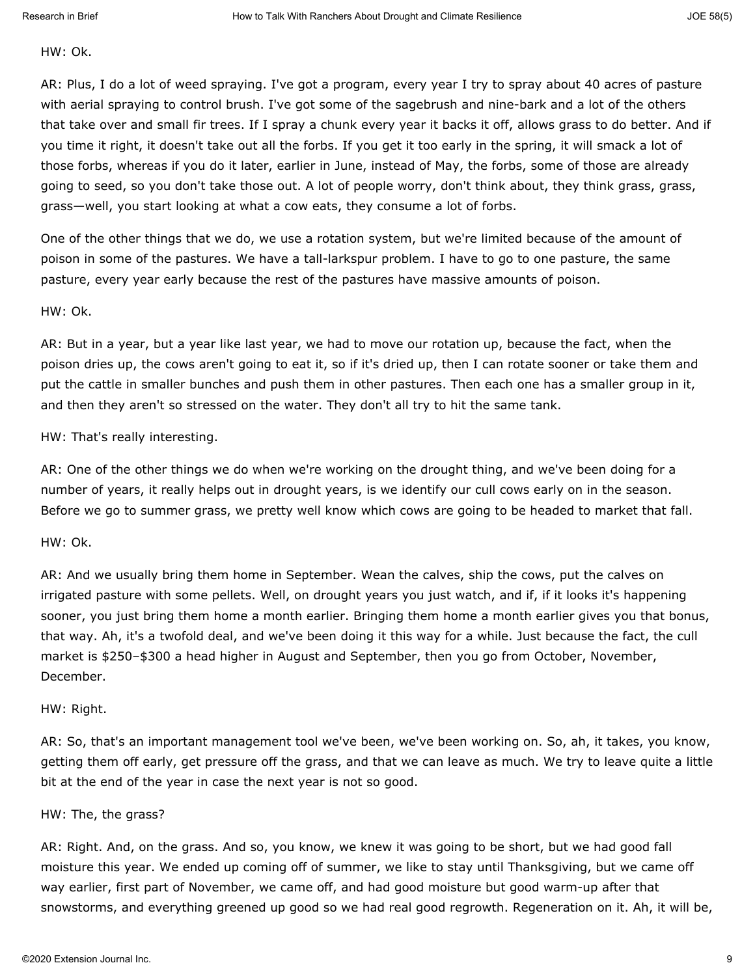#### HW: Ok.

AR: Plus, I do a lot of weed spraying. I've got a program, every year I try to spray about 40 acres of pasture with aerial spraying to control brush. I've got some of the sagebrush and nine-bark and a lot of the others that take over and small fir trees. If I spray a chunk every year it backs it off, allows grass to do better. And if you time it right, it doesn't take out all the forbs. If you get it too early in the spring, it will smack a lot of those forbs, whereas if you do it later, earlier in June, instead of May, the forbs, some of those are already going to seed, so you don't take those out. A lot of people worry, don't think about, they think grass, grass, grass—well, you start looking at what a cow eats, they consume a lot of forbs.

One of the other things that we do, we use a rotation system, but we're limited because of the amount of poison in some of the pastures. We have a tall-larkspur problem. I have to go to one pasture, the same pasture, every year early because the rest of the pastures have massive amounts of poison.

HW: Ok.

AR: But in a year, but a year like last year, we had to move our rotation up, because the fact, when the poison dries up, the cows aren't going to eat it, so if it's dried up, then I can rotate sooner or take them and put the cattle in smaller bunches and push them in other pastures. Then each one has a smaller group in it, and then they aren't so stressed on the water. They don't all try to hit the same tank.

HW: That's really interesting.

AR: One of the other things we do when we're working on the drought thing, and we've been doing for a number of years, it really helps out in drought years, is we identify our cull cows early on in the season. Before we go to summer grass, we pretty well know which cows are going to be headed to market that fall.

#### HW: Ok.

AR: And we usually bring them home in September. Wean the calves, ship the cows, put the calves on irrigated pasture with some pellets. Well, on drought years you just watch, and if, if it looks it's happening sooner, you just bring them home a month earlier. Bringing them home a month earlier gives you that bonus, that way. Ah, it's a twofold deal, and we've been doing it this way for a while. Just because the fact, the cull market is \$250–\$300 a head higher in August and September, then you go from October, November, December.

#### HW: Right.

AR: So, that's an important management tool we've been, we've been working on. So, ah, it takes, you know, getting them off early, get pressure off the grass, and that we can leave as much. We try to leave quite a little bit at the end of the year in case the next year is not so good.

#### HW: The, the grass?

AR: Right. And, on the grass. And so, you know, we knew it was going to be short, but we had good fall moisture this year. We ended up coming off of summer, we like to stay until Thanksgiving, but we came off way earlier, first part of November, we came off, and had good moisture but good warm-up after that snowstorms, and everything greened up good so we had real good regrowth. Regeneration on it. Ah, it will be,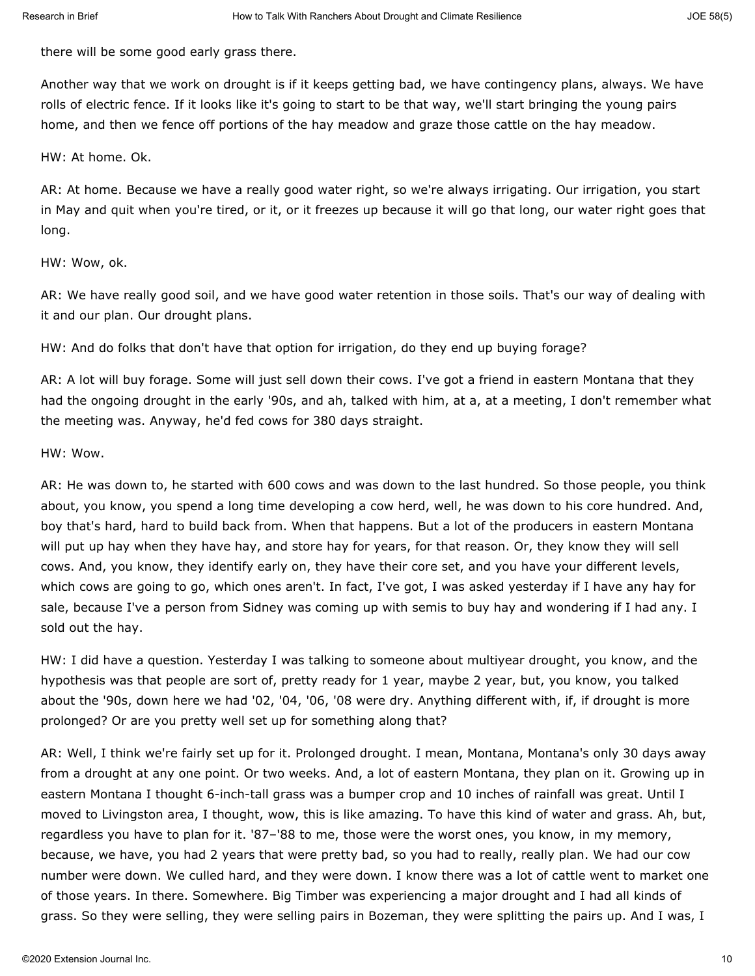there will be some good early grass there.

Another way that we work on drought is if it keeps getting bad, we have contingency plans, always. We have rolls of electric fence. If it looks like it's going to start to be that way, we'll start bringing the young pairs home, and then we fence off portions of the hay meadow and graze those cattle on the hay meadow.

#### HW: At home. Ok.

AR: At home. Because we have a really good water right, so we're always irrigating. Our irrigation, you start in May and quit when you're tired, or it, or it freezes up because it will go that long, our water right goes that long.

#### HW: Wow, ok.

AR: We have really good soil, and we have good water retention in those soils. That's our way of dealing with it and our plan. Our drought plans.

HW: And do folks that don't have that option for irrigation, do they end up buying forage?

AR: A lot will buy forage. Some will just sell down their cows. I've got a friend in eastern Montana that they had the ongoing drought in the early '90s, and ah, talked with him, at a, at a meeting, I don't remember what the meeting was. Anyway, he'd fed cows for 380 days straight.

#### HW: Wow.

AR: He was down to, he started with 600 cows and was down to the last hundred. So those people, you think about, you know, you spend a long time developing a cow herd, well, he was down to his core hundred. And, boy that's hard, hard to build back from. When that happens. But a lot of the producers in eastern Montana will put up hay when they have hay, and store hay for years, for that reason. Or, they know they will sell cows. And, you know, they identify early on, they have their core set, and you have your different levels, which cows are going to go, which ones aren't. In fact, I've got, I was asked yesterday if I have any hay for sale, because I've a person from Sidney was coming up with semis to buy hay and wondering if I had any. I sold out the hay.

HW: I did have a question. Yesterday I was talking to someone about multiyear drought, you know, and the hypothesis was that people are sort of, pretty ready for 1 year, maybe 2 year, but, you know, you talked about the '90s, down here we had '02, '04, '06, '08 were dry. Anything different with, if, if drought is more prolonged? Or are you pretty well set up for something along that?

AR: Well, I think we're fairly set up for it. Prolonged drought. I mean, Montana, Montana's only 30 days away from a drought at any one point. Or two weeks. And, a lot of eastern Montana, they plan on it. Growing up in eastern Montana I thought 6-inch-tall grass was a bumper crop and 10 inches of rainfall was great. Until I moved to Livingston area, I thought, wow, this is like amazing. To have this kind of water and grass. Ah, but, regardless you have to plan for it. '87–'88 to me, those were the worst ones, you know, in my memory, because, we have, you had 2 years that were pretty bad, so you had to really, really plan. We had our cow number were down. We culled hard, and they were down. I know there was a lot of cattle went to market one of those years. In there. Somewhere. Big Timber was experiencing a major drought and I had all kinds of grass. So they were selling, they were selling pairs in Bozeman, they were splitting the pairs up. And I was, I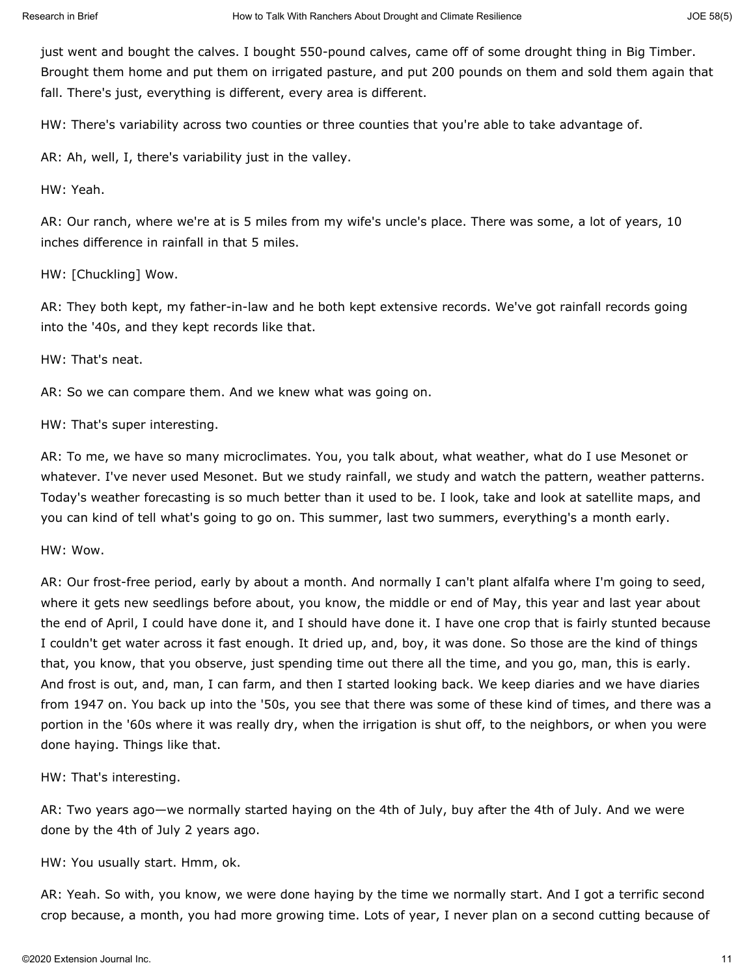just went and bought the calves. I bought 550-pound calves, came off of some drought thing in Big Timber. Brought them home and put them on irrigated pasture, and put 200 pounds on them and sold them again that fall. There's just, everything is different, every area is different.

HW: There's variability across two counties or three counties that you're able to take advantage of.

AR: Ah, well, I, there's variability just in the valley.

HW: Yeah.

AR: Our ranch, where we're at is 5 miles from my wife's uncle's place. There was some, a lot of years, 10 inches difference in rainfall in that 5 miles.

HW: [Chuckling] Wow.

AR: They both kept, my father-in-law and he both kept extensive records. We've got rainfall records going into the '40s, and they kept records like that.

HW: That's neat.

AR: So we can compare them. And we knew what was going on.

HW: That's super interesting.

AR: To me, we have so many microclimates. You, you talk about, what weather, what do I use Mesonet or whatever. I've never used Mesonet. But we study rainfall, we study and watch the pattern, weather patterns. Today's weather forecasting is so much better than it used to be. I look, take and look at satellite maps, and you can kind of tell what's going to go on. This summer, last two summers, everything's a month early.

HW: Wow.

AR: Our frost-free period, early by about a month. And normally I can't plant alfalfa where I'm going to seed, where it gets new seedlings before about, you know, the middle or end of May, this year and last year about the end of April, I could have done it, and I should have done it. I have one crop that is fairly stunted because I couldn't get water across it fast enough. It dried up, and, boy, it was done. So those are the kind of things that, you know, that you observe, just spending time out there all the time, and you go, man, this is early. And frost is out, and, man, I can farm, and then I started looking back. We keep diaries and we have diaries from 1947 on. You back up into the '50s, you see that there was some of these kind of times, and there was a portion in the '60s where it was really dry, when the irrigation is shut off, to the neighbors, or when you were done haying. Things like that.

HW: That's interesting.

AR: Two years ago—we normally started haying on the 4th of July, buy after the 4th of July. And we were done by the 4th of July 2 years ago.

HW: You usually start. Hmm, ok.

AR: Yeah. So with, you know, we were done haying by the time we normally start. And I got a terrific second crop because, a month, you had more growing time. Lots of year, I never plan on a second cutting because of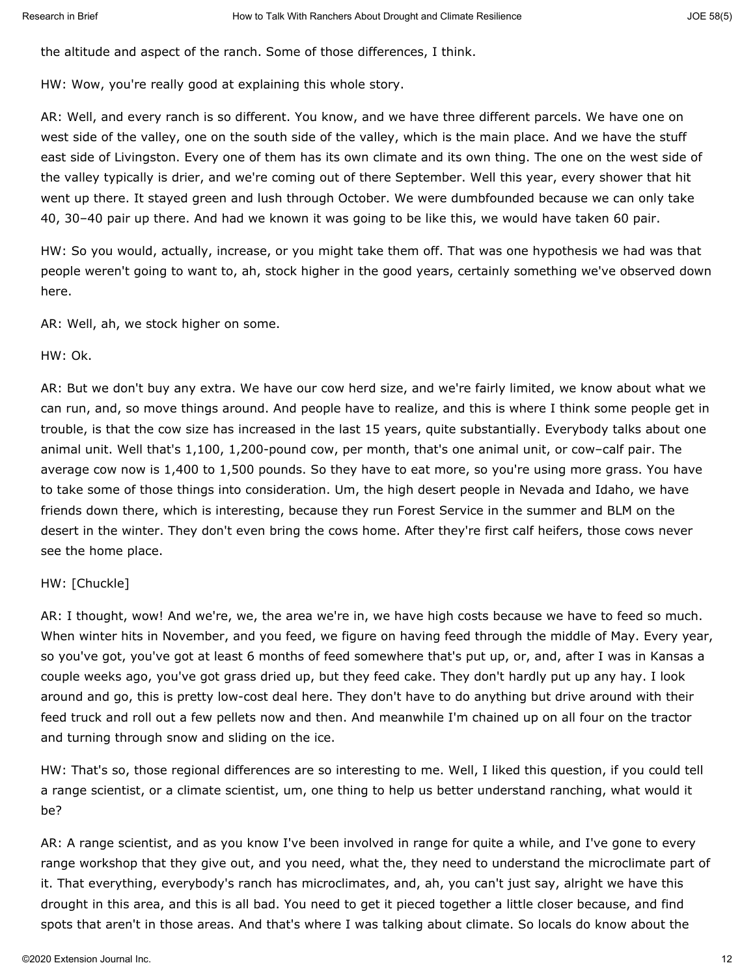the altitude and aspect of the ranch. Some of those differences, I think.

HW: Wow, you're really good at explaining this whole story.

AR: Well, and every ranch is so different. You know, and we have three different parcels. We have one on west side of the valley, one on the south side of the valley, which is the main place. And we have the stuff east side of Livingston. Every one of them has its own climate and its own thing. The one on the west side of the valley typically is drier, and we're coming out of there September. Well this year, every shower that hit went up there. It stayed green and lush through October. We were dumbfounded because we can only take 40, 30–40 pair up there. And had we known it was going to be like this, we would have taken 60 pair.

HW: So you would, actually, increase, or you might take them off. That was one hypothesis we had was that people weren't going to want to, ah, stock higher in the good years, certainly something we've observed down here.

AR: Well, ah, we stock higher on some.

HW: Ok.

AR: But we don't buy any extra. We have our cow herd size, and we're fairly limited, we know about what we can run, and, so move things around. And people have to realize, and this is where I think some people get in trouble, is that the cow size has increased in the last 15 years, quite substantially. Everybody talks about one animal unit. Well that's 1,100, 1,200-pound cow, per month, that's one animal unit, or cow–calf pair. The average cow now is 1,400 to 1,500 pounds. So they have to eat more, so you're using more grass. You have to take some of those things into consideration. Um, the high desert people in Nevada and Idaho, we have friends down there, which is interesting, because they run Forest Service in the summer and BLM on the desert in the winter. They don't even bring the cows home. After they're first calf heifers, those cows never see the home place.

#### HW: [Chuckle]

AR: I thought, wow! And we're, we, the area we're in, we have high costs because we have to feed so much. When winter hits in November, and you feed, we figure on having feed through the middle of May. Every year, so you've got, you've got at least 6 months of feed somewhere that's put up, or, and, after I was in Kansas a couple weeks ago, you've got grass dried up, but they feed cake. They don't hardly put up any hay. I look around and go, this is pretty low-cost deal here. They don't have to do anything but drive around with their feed truck and roll out a few pellets now and then. And meanwhile I'm chained up on all four on the tractor and turning through snow and sliding on the ice.

HW: That's so, those regional differences are so interesting to me. Well, I liked this question, if you could tell a range scientist, or a climate scientist, um, one thing to help us better understand ranching, what would it be?

AR: A range scientist, and as you know I've been involved in range for quite a while, and I've gone to every range workshop that they give out, and you need, what the, they need to understand the microclimate part of it. That everything, everybody's ranch has microclimates, and, ah, you can't just say, alright we have this drought in this area, and this is all bad. You need to get it pieced together a little closer because, and find spots that aren't in those areas. And that's where I was talking about climate. So locals do know about the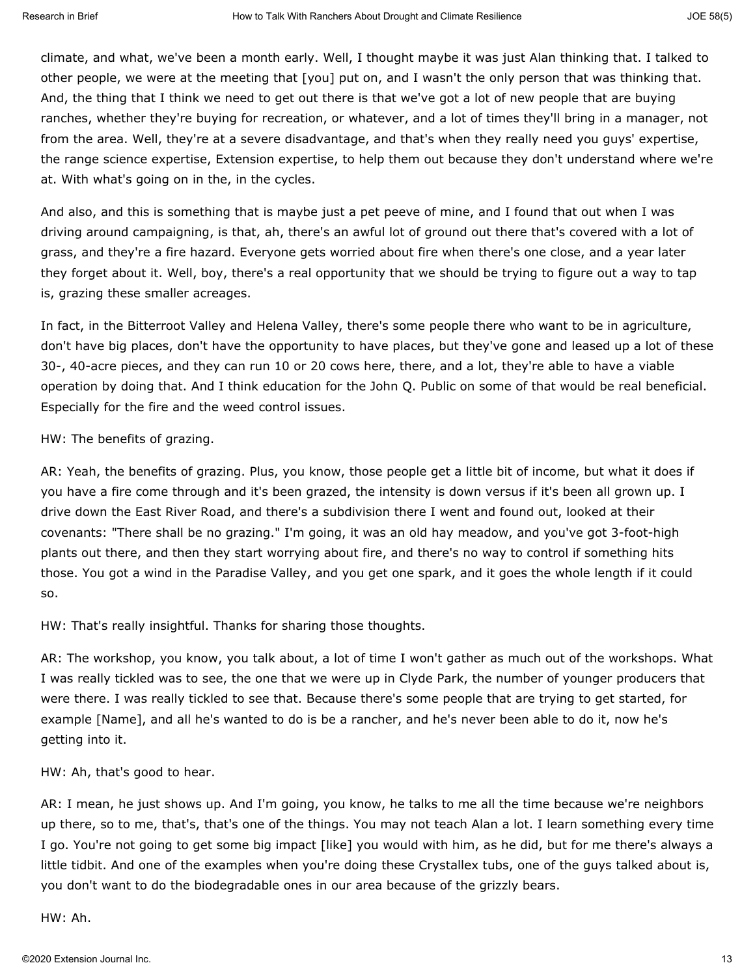climate, and what, we've been a month early. Well, I thought maybe it was just Alan thinking that. I talked to other people, we were at the meeting that [you] put on, and I wasn't the only person that was thinking that. And, the thing that I think we need to get out there is that we've got a lot of new people that are buying ranches, whether they're buying for recreation, or whatever, and a lot of times they'll bring in a manager, not from the area. Well, they're at a severe disadvantage, and that's when they really need you guys' expertise, the range science expertise, Extension expertise, to help them out because they don't understand where we're at. With what's going on in the, in the cycles.

And also, and this is something that is maybe just a pet peeve of mine, and I found that out when I was driving around campaigning, is that, ah, there's an awful lot of ground out there that's covered with a lot of grass, and they're a fire hazard. Everyone gets worried about fire when there's one close, and a year later they forget about it. Well, boy, there's a real opportunity that we should be trying to figure out a way to tap is, grazing these smaller acreages.

In fact, in the Bitterroot Valley and Helena Valley, there's some people there who want to be in agriculture, don't have big places, don't have the opportunity to have places, but they've gone and leased up a lot of these 30-, 40-acre pieces, and they can run 10 or 20 cows here, there, and a lot, they're able to have a viable operation by doing that. And I think education for the John Q. Public on some of that would be real beneficial. Especially for the fire and the weed control issues.

HW: The benefits of grazing.

AR: Yeah, the benefits of grazing. Plus, you know, those people get a little bit of income, but what it does if you have a fire come through and it's been grazed, the intensity is down versus if it's been all grown up. I drive down the East River Road, and there's a subdivision there I went and found out, looked at their covenants: "There shall be no grazing." I'm going, it was an old hay meadow, and you've got 3-foot-high plants out there, and then they start worrying about fire, and there's no way to control if something hits those. You got a wind in the Paradise Valley, and you get one spark, and it goes the whole length if it could so.

HW: That's really insightful. Thanks for sharing those thoughts.

AR: The workshop, you know, you talk about, a lot of time I won't gather as much out of the workshops. What I was really tickled was to see, the one that we were up in Clyde Park, the number of younger producers that were there. I was really tickled to see that. Because there's some people that are trying to get started, for example [Name], and all he's wanted to do is be a rancher, and he's never been able to do it, now he's getting into it.

HW: Ah, that's good to hear.

AR: I mean, he just shows up. And I'm going, you know, he talks to me all the time because we're neighbors up there, so to me, that's, that's one of the things. You may not teach Alan a lot. I learn something every time I go. You're not going to get some big impact [like] you would with him, as he did, but for me there's always a little tidbit. And one of the examples when you're doing these Crystallex tubs, one of the guys talked about is, you don't want to do the biodegradable ones in our area because of the grizzly bears.

HW: Ah.